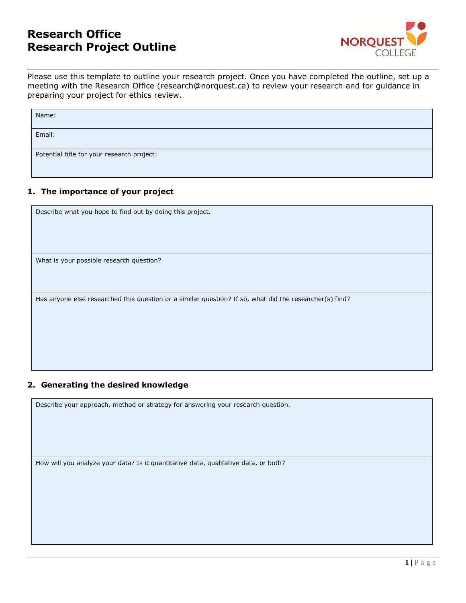# **Research Office Research Project Outline**



Please use this template to outline your research project. Once you have completed the outline, set up a meeting with the Research Office (research@norquest.ca) to review your research and for guidance in preparing your project for ethics review.

| Name:                                      |  |
|--------------------------------------------|--|
| Email:                                     |  |
| Potential title for your research project: |  |

### **1. The importance of your project**

Describe what you hope to find out by doing this project.

What is your possible research question?

Has anyone else researched this question or a similar question? If so, what did the researcher(s) find?

### **2. Generating the desired knowledge**

Describe your approach, method or strategy for answering your research question.

How will you analyze your data? Is it quantitative data, qualitative data, or both?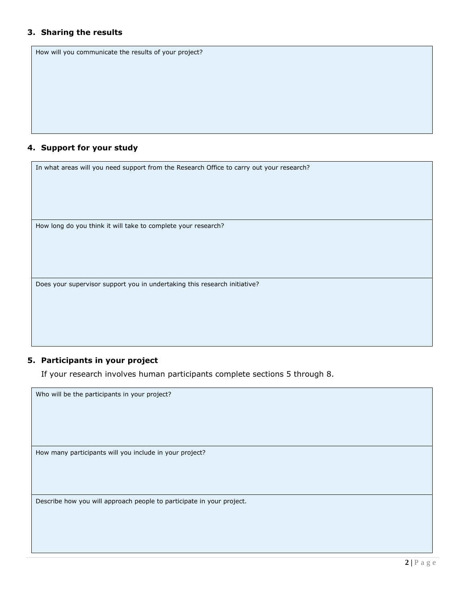#### **3. Sharing the results**

| How will you communicate the results of your project? |
|-------------------------------------------------------|
|                                                       |
|                                                       |
|                                                       |
|                                                       |
|                                                       |
| 4. Support for your study                             |

In what areas will you need support from the Research Office to carry out your research?

How long do you think it will take to complete your research?

Does your supervisor support you in undertaking this research initiative?

### **5. Participants in your project**

Who will be the participants in your project?

If your research involves human participants complete sections 5 through 8.

How many participants will you include in your project?

Describe how you will approach people to participate in your project.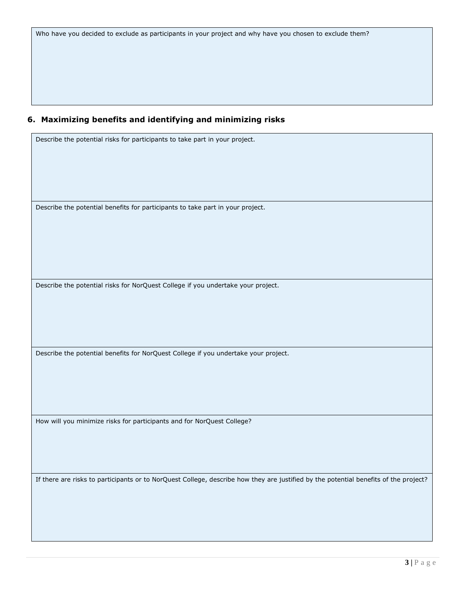Who have you decided to exclude as participants in your project and why have you chosen to exclude them?

## **6. Maximizing benefits and identifying and minimizing risks**

Describe the potential risks for participants to take part in your project.

Describe the potential benefits for participants to take part in your project.

Describe the potential risks for NorQuest College if you undertake your project.

Describe the potential benefits for NorQuest College if you undertake your project.

How will you minimize risks for participants and for NorQuest College?

If there are risks to participants or to NorQuest College, describe how they are justified by the potential benefits of the project?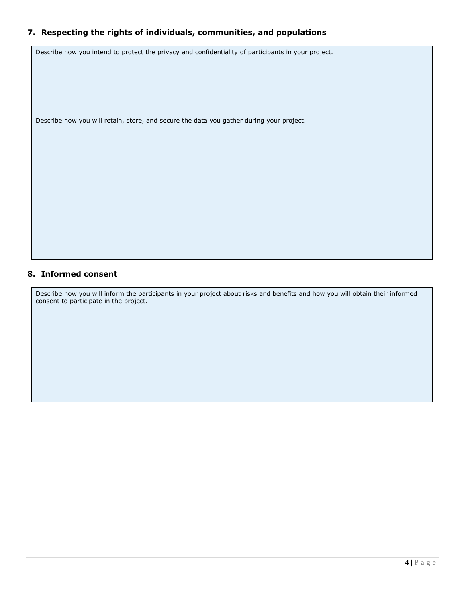## **7. Respecting the rights of individuals, communities, and populations**

Describe how you intend to protect the privacy and confidentiality of participants in your project.

Describe how you will retain, store, and secure the data you gather during your project.

### **8. Informed consent**

Describe how you will inform the participants in your project about risks and benefits and how you will obtain their informed consent to participate in the project.